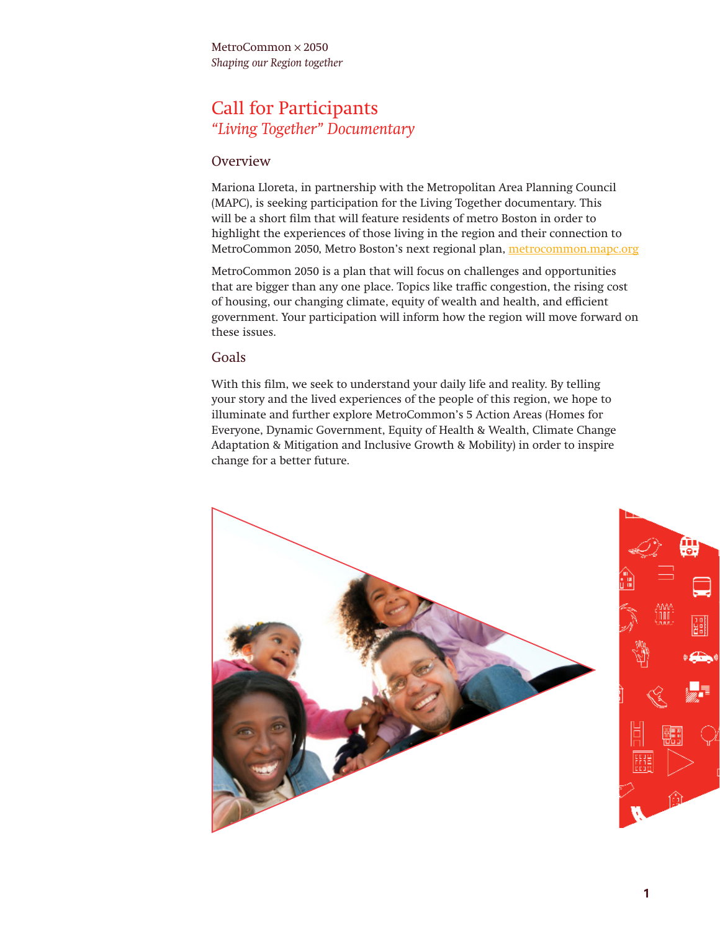MetroCommon × 2050 *Shaping our Region together*

### Call for Participants *"Living Together" Documentary*

#### Overview

Mariona Lloreta, in partnership with the Metropolitan Area Planning Council (MAPC), is seeking participation for the Living Together documentary. This will be a short film that will feature residents of metro Boston in order to highlight the experiences of those living in the region and their connection to MetroCommon 2050, Metro Boston's next regional plan, [metrocommon.mapc.org](http://metrocommon.mapc.org)

MetroCommon 2050 is a plan that will focus on challenges and opportunities that are bigger than any one place. Topics like traffic congestion, the rising cost of housing, our changing climate, equity of wealth and health, and efficient government. Your participation will inform how the region will move forward on these issues.

#### Goals

With this film, we seek to understand your daily life and reality. By telling your story and the lived experiences of the people of this region, we hope to illuminate and further explore MetroCommon's 5 Action Areas (Homes for Everyone, Dynamic Government, Equity of Health & Wealth, Climate Change Adaptation & Mitigation and Inclusive Growth & Mobility) in order to inspire change for a better future.

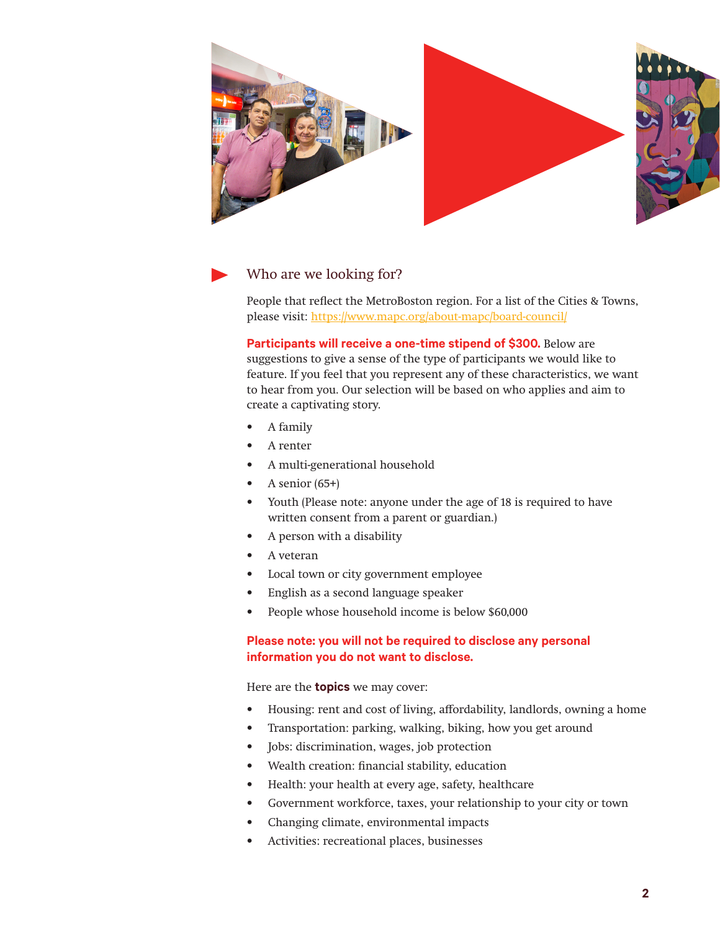



### Who are we looking for?

People that reflect the MetroBoston region. For a list of the Cities & Towns, please visit: <https://www.mapc.org/about-mapc/board-council/>

**Participants will receive a one-time stipend of \$300.** Below are suggestions to give a sense of the type of participants we would like to feature. If you feel that you represent any of these characteristics, we want to hear from you. Our selection will be based on who applies and aim to create a captivating story.

- A family
- A renter
- A multi-generational household
- A senior  $(65+)$
- Youth (Please note: anyone under the age of 18 is required to have written consent from a parent or guardian.)
- A person with a disability
- A veteran
- Local town or city government employee
- English as a second language speaker
- People whose household income is below \$60,000

#### **Please note: you will not be required to disclose any personal information you do not want to disclose.**

#### Here are the **topics** we may cover:

- Housing: rent and cost of living, affordability, landlords, owning a home
- Transportation: parking, walking, biking, how you get around
- Jobs: discrimination, wages, job protection
- Wealth creation: financial stability, education
- Health: your health at every age, safety, healthcare
- Government workforce, taxes, your relationship to your city or town
- Changing climate, environmental impacts
- Activities: recreational places, businesses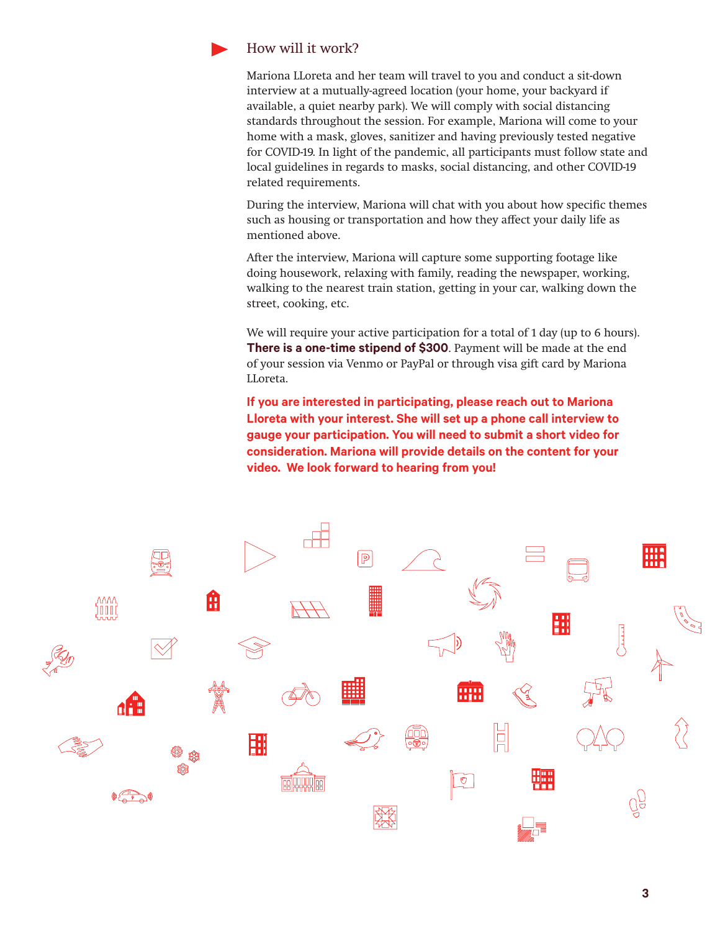

#### How will it work?

Mariona LLoreta and her team will travel to you and conduct a sit-down interview at a mutually-agreed location (your home, your backyard if available, a quiet nearby park). We will comply with social distancing standards throughout the session. For example, Mariona will come to your home with a mask, gloves, sanitizer and having previously tested negative for COVID-19. In light of the pandemic, all participants must follow state and local guidelines in regards to masks, social distancing, and other COVID-19 related requirements.

During the interview, Mariona will chat with you about how specific themes such as housing or transportation and how they affect your daily life as mentioned above.

After the interview, Mariona will capture some supporting footage like doing housework, relaxing with family, reading the newspaper, working, walking to the nearest train station, getting in your car, walking down the street, cooking, etc.

We will require your active participation for a total of 1 day (up to 6 hours). **There is a one-time stipend of \$300**. Payment will be made at the end of your session via Venmo or PayPal or through visa gift card by Mariona LLoreta.

**If you are interested in participating, please reach out to Mariona Lloreta with your interest. She will set up a phone call interview to gauge your participation. You will need to submit a short video for consideration. Mariona will provide details on the content for your video. We look forward to hearing from you!**